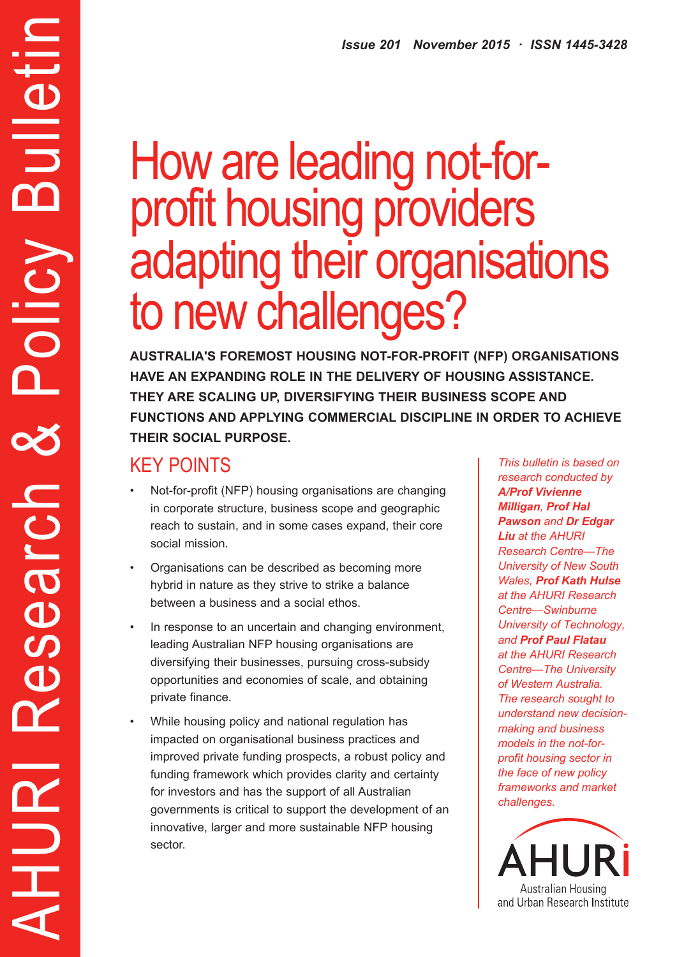# How are leading not-forprofit housing providers adapting their organisations to new challenges?

**AUSTRALIA'S FOREMOST HOUSING NOT-FOR-PROFIT (NFP) ORGANISATIONS HAVE AN EXPANDING ROLE IN THE DELIVERY OF HOUSING ASSISTANCE. THEY ARE SCALING UP, DIVERSIFYING THEIR BUSINESS SCOPE AND FUNCTIONS AND APPLYING COMMERCIAL DISCIPLINE IN ORDER TO ACHIEVE THEIR SOCIAL PURPOSE.**

## KEY POINTS

AHURI Research & Policy Bulletin

Search

 $\mathbf 0$ 

Y

HURI

ulletir

m

Policy

- Not-for-profit (NFP) housing organisations are changing in corporate structure, business scope and geographic reach to sustain, and in some cases expand, their core social mission.
- Organisations can be described as becoming more hybrid in nature as they strive to strike a balance between a business and a social ethos.
- In response to an uncertain and changing environment, leading Australian NFP housing organisations are diversifying their businesses, pursuing cross-subsidy opportunities and economies of scale, and obtaining private finance.
- While housing policy and national regulation has impacted on organisational business practices and improved private funding prospects, a robust policy and funding framework which provides clarity and certainty for investors and has the support of all Australian governments is critical to support the development of an innovative, larger and more sustainable NFP housing sector.

*This bulletin is based on research conducted by A/Prof Vivienne Milligan, Prof Hal Pawson and Dr Edgar Liu at the AHURI Research Centre—The University of New South Wales, Prof Kath Hulse at the AHURI Research Centre—Swinburne University of Technology, and Prof Paul Flatau at the AHURI Research Centre—The University of Western Australia. The research sought to understand new decisionmaking and business models in the not-forprofit housing sector in the face of new policy frameworks and market challenges.*

**Australian Housing** and Urban Research Institute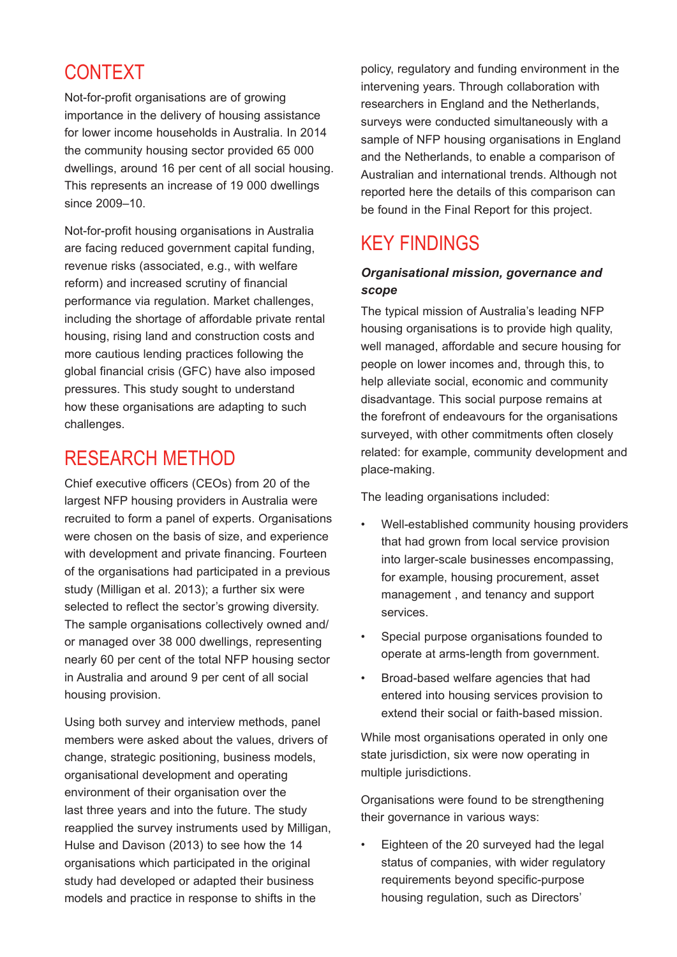## CONTEXT

Not-for-profit organisations are of growing importance in the delivery of housing assistance for lower income households in Australia. In 2014 the community housing sector provided 65 000 dwellings, around 16 per cent of all social housing. This represents an increase of 19 000 dwellings since 2009–10.

Not-for-profit housing organisations in Australia are facing reduced government capital funding, revenue risks (associated, e.g., with welfare reform) and increased scrutiny of financial performance via regulation. Market challenges, including the shortage of affordable private rental housing, rising land and construction costs and more cautious lending practices following the global financial crisis (GFC) have also imposed pressures. This study sought to understand how these organisations are adapting to such challenges.

## RESEARCH METHOD

Chief executive officers (CEOs) from 20 of the largest NFP housing providers in Australia were recruited to form a panel of experts. Organisations were chosen on the basis of size, and experience with development and private financing. Fourteen of the organisations had participated in a previous study (Milligan et al. 2013); a further six were selected to reflect the sector's growing diversity. The sample organisations collectively owned and/ or managed over 38 000 dwellings, representing nearly 60 per cent of the total NFP housing sector in Australia and around 9 per cent of all social housing provision.

Using both survey and interview methods, panel members were asked about the values, drivers of change, strategic positioning, business models, organisational development and operating environment of their organisation over the last three years and into the future. The study reapplied the survey instruments used by Milligan, Hulse and Davison (2013) to see how the 14 organisations which participated in the original study had developed or adapted their business models and practice in response to shifts in the

policy, regulatory and funding environment in the intervening years. Through collaboration with researchers in England and the Netherlands, surveys were conducted simultaneously with a sample of NFP housing organisations in England and the Netherlands, to enable a comparison of Australian and international trends. Although not reported here the details of this comparison can be found in the Final Report for this project.

## KEY FINDINGS

#### *Organisational mission, governance and scope*

The typical mission of Australia's leading NFP housing organisations is to provide high quality, well managed, affordable and secure housing for people on lower incomes and, through this, to help alleviate social, economic and community disadvantage. This social purpose remains at the forefront of endeavours for the organisations surveyed, with other commitments often closely related: for example, community development and place-making.

The leading organisations included:

- Well-established community housing providers that had grown from local service provision into larger-scale businesses encompassing, for example, housing procurement, asset management , and tenancy and support services.
- Special purpose organisations founded to operate at arms-length from government.
- Broad-based welfare agencies that had entered into housing services provision to extend their social or faith-based mission.

While most organisations operated in only one state jurisdiction, six were now operating in multiple jurisdictions.

Organisations were found to be strengthening their governance in various ways:

Eighteen of the 20 surveyed had the legal status of companies, with wider regulatory requirements beyond specific-purpose housing regulation, such as Directors'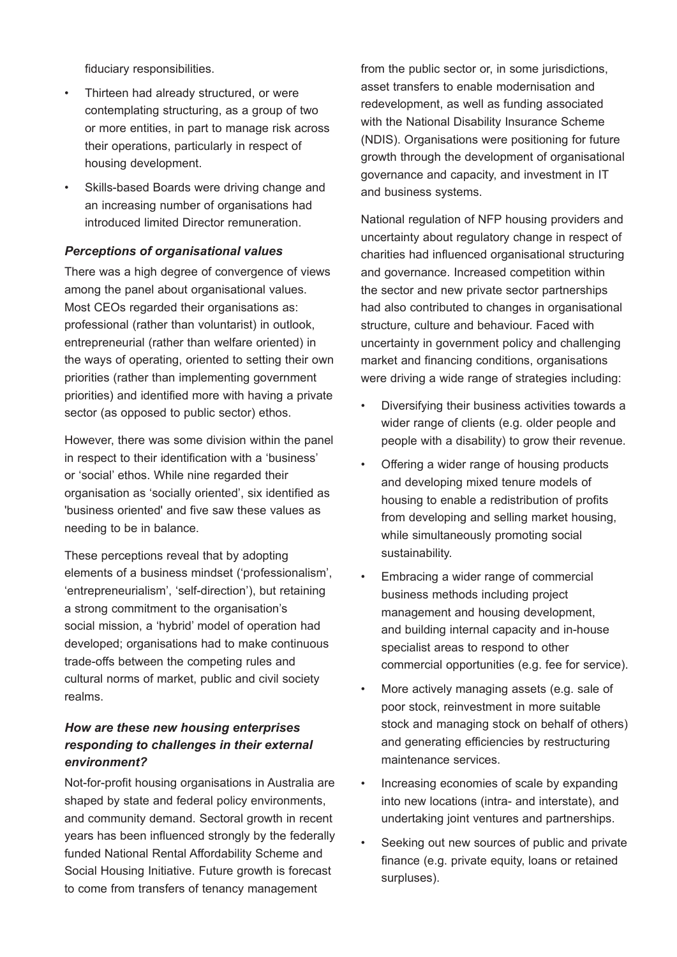fiduciary responsibilities.

- Thirteen had already structured, or were contemplating structuring, as a group of two or more entities, in part to manage risk across their operations, particularly in respect of housing development.
- Skills-based Boards were driving change and an increasing number of organisations had introduced limited Director remuneration.

#### *Perceptions of organisational values*

There was a high degree of convergence of views among the panel about organisational values. Most CEOs regarded their organisations as: professional (rather than voluntarist) in outlook, entrepreneurial (rather than welfare oriented) in the ways of operating, oriented to setting their own priorities (rather than implementing government priorities) and identified more with having a private sector (as opposed to public sector) ethos.

However, there was some division within the panel in respect to their identification with a 'business' or 'social' ethos. While nine regarded their organisation as 'socially oriented', six identified as 'business oriented' and five saw these values as needing to be in balance.

These perceptions reveal that by adopting elements of a business mindset ('professionalism', 'entrepreneurialism', 'self-direction'), but retaining a strong commitment to the organisation's social mission, a 'hybrid' model of operation had developed; organisations had to make continuous trade-offs between the competing rules and cultural norms of market, public and civil society realms.

#### *How are these new housing enterprises responding to challenges in their external environment?*

Not-for-profit housing organisations in Australia are shaped by state and federal policy environments, and community demand. Sectoral growth in recent years has been influenced strongly by the federally funded National Rental Affordability Scheme and Social Housing Initiative. Future growth is forecast to come from transfers of tenancy management

from the public sector or, in some jurisdictions, asset transfers to enable modernisation and redevelopment, as well as funding associated with the National Disability Insurance Scheme (NDIS). Organisations were positioning for future growth through the development of organisational governance and capacity, and investment in IT and business systems.

National regulation of NFP housing providers and uncertainty about regulatory change in respect of charities had influenced organisational structuring and governance. Increased competition within the sector and new private sector partnerships had also contributed to changes in organisational structure, culture and behaviour. Faced with uncertainty in government policy and challenging market and financing conditions, organisations were driving a wide range of strategies including:

- Diversifying their business activities towards a wider range of clients (e.g. older people and people with a disability) to grow their revenue.
- Offering a wider range of housing products and developing mixed tenure models of housing to enable a redistribution of profits from developing and selling market housing, while simultaneously promoting social sustainability.
- Embracing a wider range of commercial business methods including project management and housing development, and building internal capacity and in-house specialist areas to respond to other commercial opportunities (e.g. fee for service).
- More actively managing assets (e.g. sale of poor stock, reinvestment in more suitable stock and managing stock on behalf of others) and generating efficiencies by restructuring maintenance services.
- • Increasing economies of scale by expanding into new locations (intra- and interstate), and undertaking joint ventures and partnerships.
- Seeking out new sources of public and private finance (e.g. private equity, loans or retained surpluses).